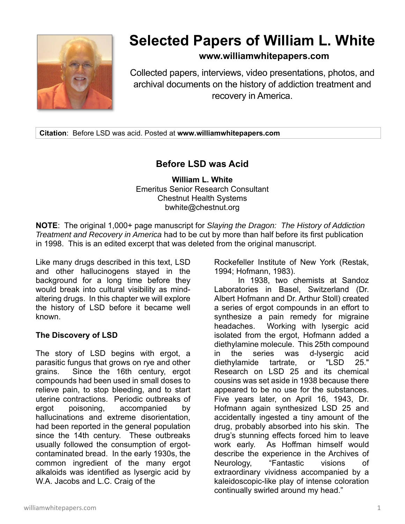

# **Selected Papers of William L. White**

### **www.williamwhitepapers.com**

Collected papers, interviews, video presentations, photos, and archival documents on the history of addiction treatment and recovery in America.

**Citation**: Before LSD was acid. Posted at **www.williamwhitepapers.com** 

## **Before LSD was Acid**

**William L. White**  Emeritus Senior Research Consultant Chestnut Health Systems bwhite@chestnut.org

**NOTE**: The original 1,000+ page manuscript for *Slaying the Dragon: The History of Addiction Treatment and Recovery in America* had to be cut by more than half before its first publication in 1998. This is an edited excerpt that was deleted from the original manuscript.

Like many drugs described in this text, LSD and other hallucinogens stayed in the background for a long time before they would break into cultural visibility as mindaltering drugs. In this chapter we will explore the history of LSD before it became well known.

#### **The Discovery of LSD**

The story of LSD begins with ergot, a parasitic fungus that grows on rye and other grains. Since the 16th century, ergot compounds had been used in small doses to relieve pain, to stop bleeding, and to start uterine contractions. Periodic outbreaks of ergot poisoning, accompanied by hallucinations and extreme disorientation, had been reported in the general population since the 14th century. These outbreaks usually followed the consumption of ergotcontaminated bread. In the early 1930s, the common ingredient of the many ergot alkaloids was identified as lysergic acid by W.A. Jacobs and L.C. Craig of the

Rockefeller Institute of New York (Restak, 1994; Hofmann, 1983).

In 1938, two chemists at Sandoz Laboratories in Basel, Switzerland (Dr. Albert Hofmann and Dr. Arthur Stoll) created a series of ergot compounds in an effort to synthesize a pain remedy for migraine headaches. Working with lysergic acid isolated from the ergot, Hofmann added a diethylamine molecule. This 25th compound in the series was d-lysergic acid diethylamide tartrate, or "LSD 25." Research on LSD 25 and its chemical cousins was set aside in 1938 because there appeared to be no use for the substances. Five years later, on April 16, 1943, Dr. Hofmann again synthesized LSD 25 and accidentally ingested a tiny amount of the drug, probably absorbed into his skin. The drug's stunning effects forced him to leave work early. As Hoffman himself would describe the experience in the Archives of Neurology, "Fantastic visions of extraordinary vividness accompanied by a kaleidoscopic-like play of intense coloration continually swirled around my head."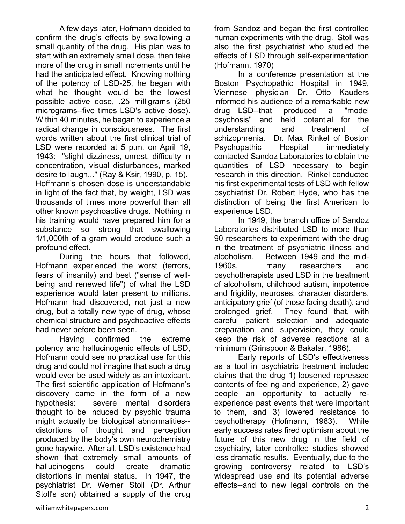A few days later, Hofmann decided to confirm the drug's effects by swallowing a small quantity of the drug. His plan was to start with an extremely small dose, then take more of the drug in small increments until he had the anticipated effect. Knowing nothing of the potency of LSD-25, he began with what he thought would be the lowest possible active dose, .25 milligrams (250 micrograms--five times LSD's active dose). Within 40 minutes, he began to experience a radical change in consciousness. The first words written about the first clinical trial of LSD were recorded at 5 p.m. on April 19, 1943: "slight dizziness, unrest, difficulty in concentration, visual disturbances, marked desire to laugh..." (Ray & Ksir, 1990, p. 15). Hoffmann's chosen dose is understandable in light of the fact that, by weight, LSD was thousands of times more powerful than all other known psychoactive drugs. Nothing in his training would have prepared him for a substance so strong that swallowing 1/1,000th of a gram would produce such a profound effect.

During the hours that followed, Hofmann experienced the worst (terrors, fears of insanity) and best ("sense of wellbeing and renewed life") of what the LSD experience would later present to millions. Hofmann had discovered, not just a new drug, but a totally new type of drug, whose chemical structure and psychoactive effects had never before been seen.

Having confirmed the extreme potency and hallucinogenic effects of LSD, Hofmann could see no practical use for this drug and could not imagine that such a drug would ever be used widely as an intoxicant. The first scientific application of Hofmann's discovery came in the form of a new hypothesis: severe mental disorders thought to be induced by psychic trauma might actually be biological abnormalities- distortions of thought and perception produced by the body's own neurochemistry gone haywire. After all, LSD's existence had shown that extremely small amounts of hallucinogens could create dramatic distortions in mental status. In 1947, the psychiatrist Dr. Werner Stoll (Dr. Arthur Stoll's son) obtained a supply of the drug from Sandoz and began the first controlled human experiments with the drug. Stoll was also the first psychiatrist who studied the effects of LSD through self-experimentation (Hofmann, 1970)

In a conference presentation at the Boston Psychopathic Hospital in 1949, Viennese physician Dr. Otto Kauders informed his audience of a remarkable new drug—LSD--that produced a "model psychosis" and held potential for the understanding and treatment of schizophrenia. Dr. Max Rinkel of Boston Psychopathic Hospital immediately contacted Sandoz Laboratories to obtain the quantities of LSD necessary to begin research in this direction. Rinkel conducted his first experimental tests of LSD with fellow psychiatrist Dr. Robert Hyde, who has the distinction of being the first American to experience LSD.

In 1949, the branch office of Sandoz Laboratories distributed LSD to more than 90 researchers to experiment with the drug in the treatment of psychiatric illness and alcoholism. Between 1949 and the mid-1960s, many researchers and psychotherapists used LSD in the treatment of alcoholism, childhood autism, impotence and frigidity, neuroses, character disorders, anticipatory grief (of those facing death), and prolonged grief. They found that, with careful patient selection and adequate preparation and supervision, they could keep the risk of adverse reactions at a minimum (Grinspoon & Bakalar, 1986).

Early reports of LSD's effectiveness as a tool in psychiatric treatment included claims that the drug 1) loosened repressed contents of feeling and experience, 2) gave people an opportunity to actually reexperience past events that were important to them, and 3) lowered resistance to psychotherapy (Hofmann, 1983). While early success rates fired optimism about the future of this new drug in the field of psychiatry, later controlled studies showed less dramatic results. Eventually, due to the growing controversy related to LSD's widespread use and its potential adverse effects--and to new legal controls on the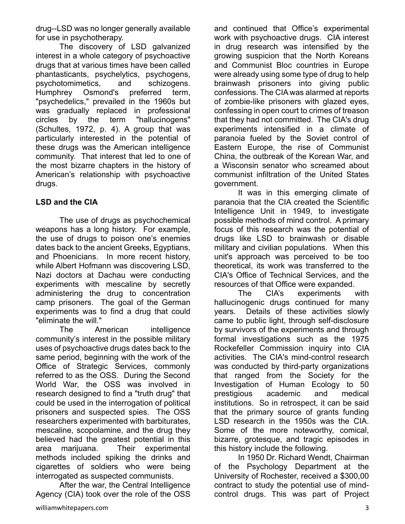drug--LSD was no longer generally available for use in psychotherapy.

The discovery of LSD galvanized interest in a whole category of psychoactive drugs that at various times have been called phantasticants, psychelytics, psychogens, psychotomimetics, and schizogens. Humphrey Osmond's preferred term, "psychedelics," prevailed in the 1960s but was gradually replaced in professional circles by the term "hallucinogens" (Schultes, 1972, p. 4). A group that was particularly interested in the potential of these drugs was the American intelligence community. That interest that led to one of the most bizarre chapters in the history of American's relationship with psychoactive drugs.

#### **LSD and the CIA**

The use of drugs as psychochemical weapons has a long history. For example, the use of drugs to poison one's enemies dates back to the ancient Greeks, Egyptians, and Phoenicians. In more recent history, while Albert Hofmann was discovering LSD, Nazi doctors at Dachau were conducting experiments with mescaline by secretly administering the drug to concentration camp prisoners. The goal of the German experiments was to find a drug that could "eliminate the will."

The American intelligence community's interest in the possible military uses of psychoactive drugs dates back to the same period, beginning with the work of the Office of Strategic Services, commonly referred to as the OSS. During the Second World War, the OSS was involved in research designed to find a "truth drug" that could be used in the interrogation of political prisoners and suspected spies. The OSS researchers experimented with barbiturates, mescaline, scopolamine, and the drug they believed had the greatest potential in this area marijuana. Their experimental methods included spiking the drinks and cigarettes of soldiers who were being interrogated as suspected communists.

After the war, the Central Intelligence Agency (CIA) took over the role of the OSS

williamwhitepapers.com 3

and continued that Office's experimental work with psychoactive drugs. CIA interest in drug research was intensified by the growing suspicion that the North Koreans and Communist Bloc countries in Europe were already using some type of drug to help brainwash prisoners into giving public confessions. The CIA was alarmed at reports of zombie-like prisoners with glazed eyes, confessing in open court to crimes of treason that they had not committed. The CIA's drug experiments intensified in a climate of paranoia fueled by the Soviet control of Eastern Europe, the rise of Communist China, the outbreak of the Korean War, and a Wisconsin senator who screamed about communist infiltration of the United States government.

It was in this emerging climate of paranoia that the CIA created the Scientific Intelligence Unit in 1949, to investigate possible methods of mind control. A primary focus of this research was the potential of drugs like LSD to brainwash or disable military and civilian populations. When this unit's approach was perceived to be too theoretical, its work was transferred to the CIA's Office of Technical Services, and the resources of that Office were expanded.

The CIA's experiments with hallucinogenic drugs continued for many years. Details of these activities slowly came to public light, through self-disclosure by survivors of the experiments and through formal investigations such as the 1975 Rockefeller Commission inquiry into CIA activities. The CIA's mind-control research was conducted by third-party organizations that ranged from the Society for the Investigation of Human Ecology to 50 prestigious academic and medical institutions. So in retrospect, it can be said that the primary source of grants funding LSD research in the 1950s was the CIA. Some of the more noteworthy, comical, bizarre, grotesque, and tragic episodes in this history include the following.

 In 1950 Dr. Richard Wendt, Chairman of the Psychology Department at the University of Rochester, received a \$300,00 contract to study the potential use of mindcontrol drugs. This was part of Project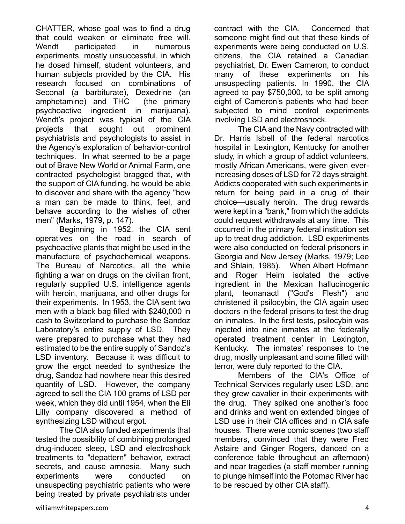CHATTER, whose goal was to find a drug that could weaken or eliminate free will. Wendt participated in numerous experiments, mostly unsuccessful, in which he dosed himself, student volunteers, and human subjects provided by the CIA. His research focused on combinations of Seconal (a barbiturate), Dexedrine (an amphetamine) and THC (the primary psychoactive ingredient in marijuana). Wendt's project was typical of the CIA projects that sought out prominent psychiatrists and psychologists to assist in the Agency's exploration of behavior-control techniques. In what seemed to be a page out of Brave New World or Animal Farm, one contracted psychologist bragged that, with the support of CIA funding, he would be able to discover and share with the agency "how a man can be made to think, feel, and behave according to the wishes of other men" (Marks, 1979, p. 147).

Beginning in 1952, the CIA sent operatives on the road in search of psychoactive plants that might be used in the manufacture of psychochemical weapons. The Bureau of Narcotics, all the while fighting a war on drugs on the civilian front, regularly supplied U.S. intelligence agents with heroin, marijuana, and other drugs for their experiments. In 1953, the CIA sent two men with a black bag filled with \$240,000 in cash to Switzerland to purchase the Sandoz Laboratory's entire supply of LSD. They were prepared to purchase what they had estimated to be the entire supply of Sandoz's LSD inventory. Because it was difficult to grow the ergot needed to synthesize the drug, Sandoz had nowhere near this desired quantity of LSD. However, the company agreed to sell the CIA 100 grams of LSD per week, which they did until 1954, when the Eli Lilly company discovered a method of synthesizing LSD without ergot.

The CIA also funded experiments that tested the possibility of combining prolonged drug-induced sleep, LSD and electroshock treatments to "depattern" behavior, extract secrets, and cause amnesia. Many such experiments were conducted on unsuspecting psychiatric patients who were being treated by private psychiatrists under

contract with the CIA. Concerned that someone might find out that these kinds of experiments were being conducted on U.S. citizens, the CIA retained a Canadian psychiatrist, Dr. Ewen Cameron, to conduct many of these experiments on his unsuspecting patients. In 1990, the CIA agreed to pay \$750,000, to be split among eight of Cameron's patients who had been subjected to mind control experiments involving LSD and electroshock.

 The CIA and the Navy contracted with Dr. Harris Isbell of the federal narcotics hospital in Lexington, Kentucky for another study, in which a group of addict volunteers, mostly African Americans, were given everincreasing doses of LSD for 72 days straight. Addicts cooperated with such experiments in return for being paid in a drug of their choice—usually heroin. The drug rewards were kept in a "bank," from which the addicts could request withdrawals at any time. This occurred in the primary federal institution set up to treat drug addiction. LSD experiments were also conducted on federal prisoners in Georgia and New Jersey (Marks, 1979; Lee and Shlain, 1985). When Albert Hofmann and Roger Heim isolated the active ingredient in the Mexican hallucinogenic plant, teonanactl ("God's Flesh") and christened it psilocybin, the CIA again used doctors in the federal prisons to test the drug on inmates. In the first tests, psilocybin was injected into nine inmates at the federally operated treatment center in Lexington, Kentucky. The inmates' responses to the drug, mostly unpleasant and some filled with terror, were duly reported to the CIA.

Members of the CIA's Office of Technical Services regularly used LSD, and they grew cavalier in their experiments with the drug. They spiked one another's food and drinks and went on extended binges of LSD use in their CIA offices and in CIA safe houses. There were comic scenes (two staff members, convinced that they were Fred Astaire and Ginger Rogers, danced on a conference table throughout an afternoon) and near tragedies (a staff member running to plunge himself into the Potomac River had to be rescued by other CIA staff).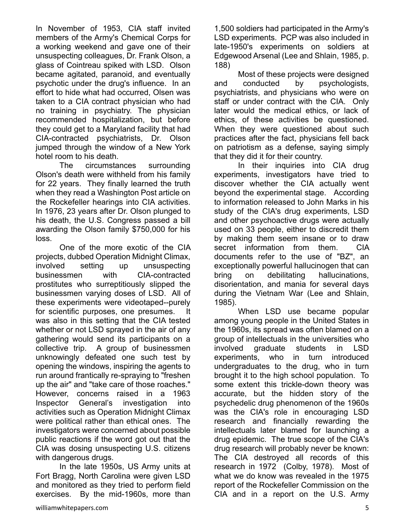In November of 1953, CIA staff invited members of the Army's Chemical Corps for a working weekend and gave one of their unsuspecting colleagues, Dr. Frank Olson, a glass of Cointreau spiked with LSD. Olson became agitated, paranoid, and eventually psychotic under the drug's influence. In an effort to hide what had occurred, Olsen was taken to a CIA contract physician who had no training in psychiatry. The physician recommended hospitalization, but before they could get to a Maryland facility that had CIA-contracted psychiatrists, Dr. Olson jumped through the window of a New York hotel room to his death.

The circumstances surrounding Olson's death were withheld from his family for 22 years. They finally learned the truth when they read a Washington Post article on the Rockefeller hearings into CIA activities. In 1976, 23 years after Dr. Olson plunged to his death, the U.S. Congress passed a bill awarding the Olson family \$750,000 for his loss.

One of the more exotic of the CIA projects, dubbed Operation Midnight Climax, involved setting up unsuspecting businessmen with CIA-contracted prostitutes who surreptitiously slipped the businessmen varying doses of LSD. All of these experiments were videotaped--purely for scientific purposes, one presumes. It was also in this setting that the CIA tested whether or not LSD sprayed in the air of any gathering would send its participants on a collective trip. A group of businessmen unknowingly defeated one such test by opening the windows, inspiring the agents to run around frantically re-spraying to "freshen up the air" and "take care of those roaches." However, concerns raised in a 1963 Inspector General's investigation into activities such as Operation Midnight Climax were political rather than ethical ones. The investigators were concerned about possible public reactions if the word got out that the CIA was dosing unsuspecting U.S. citizens with dangerous drugs.

In the late 1950s, US Army units at Fort Bragg, North Carolina were given LSD and monitored as they tried to perform field exercises. By the mid-1960s, more than 1,500 soldiers had participated in the Army's LSD experiments. PCP was also included in late-1950's experiments on soldiers at Edgewood Arsenal (Lee and Shlain, 1985, p. 188)

Most of these projects were designed and conducted by psychologists, psychiatrists, and physicians who were on staff or under contract with the CIA. Only later would the medical ethics, or lack of ethics, of these activities be questioned. When they were questioned about such practices after the fact, physicians fell back on patriotism as a defense, saying simply that they did it for their country.

In their inquiries into CIA drug experiments, investigators have tried to discover whether the CIA actually went beyond the experimental stage. According to information released to John Marks in his study of the CIA's drug experiments, LSD and other psychoactive drugs were actually used on 33 people, either to discredit them by making them seem insane or to draw secret information from them. CIA documents refer to the use of "BZ", an exceptionally powerful hallucinogen that can bring on debilitating hallucinations, disorientation, and mania for several days during the Vietnam War (Lee and Shlain, 1985).

 When LSD use became popular among young people in the United States in the 1960s, its spread was often blamed on a group of intellectuals in the universities who involved graduate students in LSD experiments, who in turn introduced undergraduates to the drug, who in turn brought it to the high school population. To some extent this trickle-down theory was accurate, but the hidden story of the psychedelic drug phenomenon of the 1960s was the CIA's role in encouraging LSD research and financially rewarding the intellectuals later blamed for launching a drug epidemic. The true scope of the CIA's drug research will probably never be known: The CIA destroyed all records of this research in 1972 (Colby, 1978). Most of what we do know was revealed in the 1975 report of the Rockefeller Commission on the CIA and in a report on the U.S. Army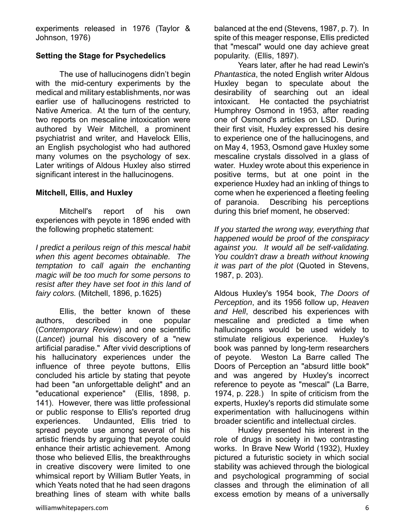experiments released in 1976 (Taylor & Johnson, 1976)

#### **Setting the Stage for Psychedelics**

The use of hallucinogens didn't begin with the mid-century experiments by the medical and military establishments, nor was earlier use of hallucinogens restricted to Native America. At the turn of the century, two reports on mescaline intoxication were authored by Weir Mitchell, a prominent psychiatrist and writer, and Havelock Ellis, an English psychologist who had authored many volumes on the psychology of sex. Later writings of Aldous Huxley also stirred significant interest in the hallucinogens.

#### **Mitchell, Ellis, and Huxley**

Mitchell's report of his own experiences with peyote in 1896 ended with the following prophetic statement:

*I predict a perilous reign of this mescal habit when this agent becomes obtainable. The temptation to call again the enchanting magic will be too much for some persons to resist after they have set foot in this land of fairy colors.* (Mitchell, 1896, p.1625)

Ellis, the better known of these authors, described in one popular (*Contemporary Review*) and one scientific (*Lancet*) journal his discovery of a "new artificial paradise." After vivid descriptions of his hallucinatory experiences under the influence of three peyote buttons, Ellis concluded his article by stating that peyote had been "an unforgettable delight" and an "educational experience" (Ellis, 1898, p. 141). However, there was little professional or public response to Ellis's reported drug experiences. Undaunted, Ellis tried to spread peyote use among several of his artistic friends by arguing that peyote could enhance their artistic achievement. Among those who believed Ellis, the breakthroughs in creative discovery were limited to one whimsical report by William Butler Yeats, in which Yeats noted that he had seen dragons breathing lines of steam with white balls

balanced at the end (Stevens, 1987, p. 7). In spite of this meager response, Ellis predicted that "mescal" would one day achieve great popularity. (Ellis, 1897).

Years later, after he had read Lewin's *Phantastica*, the noted English writer Aldous Huxley began to speculate about the desirability of searching out an ideal intoxicant. He contacted the psychiatrist Humphrey Osmond in 1953, after reading one of Osmond's articles on LSD. During their first visit, Huxley expressed his desire to experience one of the hallucinogens, and on May 4, 1953, Osmond gave Huxley some mescaline crystals dissolved in a glass of water. Huxley wrote about this experience in positive terms, but at one point in the experience Huxley had an inkling of things to come when he experienced a fleeting feeling of paranoia. Describing his perceptions during this brief moment, he observed:

*If you started the wrong way, everything that happened would be proof of the conspiracy against you. It would all be self-validating. You couldn't draw a breath without knowing it was part of the plot* (Quoted in Stevens, 1987, p. 203).

Aldous Huxley's 1954 book, *The Doors of Perception*, and its 1956 follow up, *Heaven and Hell*, described his experiences with mescaline and predicted a time when hallucinogens would be used widely to stimulate religious experience. Huxley's book was panned by long-term researchers of peyote. Weston La Barre called The Doors of Perception an "absurd little book" and was angered by Huxley's incorrect reference to peyote as "mescal" (La Barre, 1974, p. 228.) In spite of criticism from the experts, Huxley's reports did stimulate some experimentation with hallucinogens within broader scientific and intellectual circles.

Huxley presented his interest in the role of drugs in society in two contrasting works. In Brave New World (1932), Huxley pictured a futuristic society in which social stability was achieved through the biological and psychological programming of social classes and through the elimination of all excess emotion by means of a universally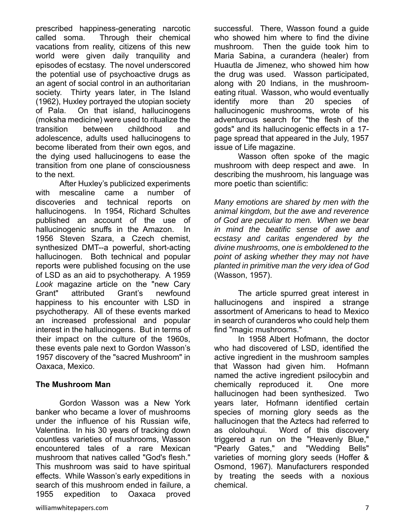prescribed happiness-generating narcotic called soma. Through their chemical vacations from reality, citizens of this new world were given daily tranquility and episodes of ecstasy. The novel underscored the potential use of psychoactive drugs as an agent of social control in an authoritarian society. Thirty years later, in The Island (1962), Huxley portrayed the utopian society of Pala. On that island, hallucinogens (moksha medicine) were used to ritualize the transition between childhood and adolescence, adults used hallucinogens to become liberated from their own egos, and the dying used hallucinogens to ease the transition from one plane of consciousness to the next.

After Huxley's publicized experiments with mescaline came a number of discoveries and technical reports on hallucinogens. In 1954, Richard Schultes published an account of the use of hallucinogenic snuffs in the Amazon. In 1956 Steven Szara, a Czech chemist, synthesized DMT--a powerful, short-acting hallucinogen. Both technical and popular reports were published focusing on the use of LSD as an aid to psychotherapy. A 1959 *Look* magazine article on the "new Cary Grant" attributed Grant's newfound happiness to his encounter with LSD in psychotherapy. All of these events marked an increased professional and popular interest in the hallucinogens. But in terms of their impact on the culture of the 1960s, these events pale next to Gordon Wasson's 1957 discovery of the "sacred Mushroom" in Oaxaca, Mexico.

#### **The Mushroom Man**

Gordon Wasson was a New York banker who became a lover of mushrooms under the influence of his Russian wife, Valentina. In his 30 years of tracking down countless varieties of mushrooms, Wasson encountered tales of a rare Mexican mushroom that natives called "God's flesh." This mushroom was said to have spiritual effects. While Wasson's early expeditions in search of this mushroom ended in failure, a 1955 expedition to Oaxaca proved

successful. There, Wasson found a guide who showed him where to find the divine mushroom. Then the guide took him to Maria Sabina, a curandera (healer) from Huautla de Jimenez, who showed him how the drug was used. Wasson participated, along with 20 Indians, in the mushroomeating ritual. Wasson, who would eventually identify more than 20 species of hallucinogenic mushrooms, wrote of his adventurous search for "the flesh of the gods" and its hallucinogenic effects in a 17 page spread that appeared in the July, 1957 issue of Life magazine.

Wasson often spoke of the magic mushroom with deep respect and awe. In describing the mushroom, his language was more poetic than scientific:

*Many emotions are shared by men with the animal kingdom, but the awe and reverence of God are peculiar to men. When we bear in mind the beatific sense of awe and ecstasy and caritas engendered by the divine mushrooms, one is emboldened to the point of asking whether they may not have planted in primitive man the very idea of God* (Wasson, 1957).

The article spurred great interest in hallucinogens and inspired a strange assortment of Americans to head to Mexico in search of curanderos who could help them find "magic mushrooms."

In 1958 Albert Hofmann, the doctor who had discovered of LSD, identified the active ingredient in the mushroom samples that Wasson had given him. Hofmann named the active ingredient psilocybin and chemically reproduced it. One more hallucinogen had been synthesized. Two years later, Hofmann identified certain species of morning glory seeds as the hallucinogen that the Aztecs had referred to as ololouhqui. Word of this discovery triggered a run on the "Heavenly Blue," "Pearly Gates," and "Wedding Bells" varieties of morning glory seeds (Hoffer & Osmond, 1967). Manufacturers responded by treating the seeds with a noxious chemical.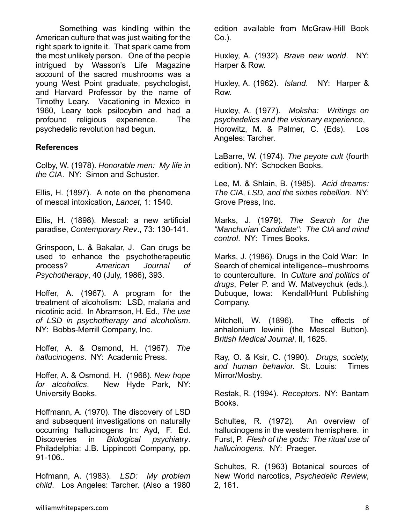Something was kindling within the American culture that was just waiting for the right spark to ignite it. That spark came from the most unlikely person. One of the people intrigued by Wasson's Life Magazine account of the sacred mushrooms was a young West Point graduate, psychologist, and Harvard Professor by the name of Timothy Leary. Vacationing in Mexico in 1960, Leary took psilocybin and had a profound religious experience. The psychedelic revolution had begun.

#### **References**

Colby, W. (1978). *Honorable men: My life in the CIA*. NY: Simon and Schuster.

Ellis, H. (1897). A note on the phenomena of mescal intoxication, *Lancet,* 1: 1540.

Ellis, H. (1898). Mescal: a new artificial paradise, *Contemporary Rev*., 73: 130-141.

Grinspoon, L. & Bakalar, J. Can drugs be used to enhance the psychotherapeutic process? *American Journal of Psychotherapy*, 40 (July, 1986), 393.

Hoffer, A. (1967). A program for the treatment of alcoholism: LSD, malaria and nicotinic acid. In Abramson, H. Ed., *The use of LSD in psychotherapy and alcoholism*. NY: Bobbs-Merrill Company, Inc.

Hoffer, A. & Osmond, H. (1967). *The hallucinogens*. NY: Academic Press.

Hoffer, A. & Osmond, H. (1968). *New hope for alcoholics*. New Hyde Park, NY: University Books.

Hoffmann, A. (1970). The discovery of LSD and subsequent investigations on naturally occurring hallucinogens In: Ayd, F. Ed. Discoveries in *Biological psychiatry*. Philadelphia: J.B. Lippincott Company, pp. 91-106..

Hofmann, A. (1983). *LSD: My problem child*. Los Angeles: Tarcher. (Also a 1980 edition available from McGraw-Hill Book Co.).

Huxley, A. (1932). *Brave new world*. NY: Harper & Row.

Huxley, A. (1962). *Island*. NY: Harper & Row.

Huxley, A. (1977). *Moksha: Writings on psychedelics and the visionary experience*, Horowitz, M. & Palmer, C. (Eds). Los Angeles: Tarcher.

LaBarre, W. (1974). *The peyote cult* (fourth edition). NY: Schocken Books.

Lee, M. & Shlain, B. (1985). *Acid dreams: The CIA, LSD, and the sixties rebellion*. NY: Grove Press, Inc.

Marks, J. (1979). *The Search for the "Manchurian Candidate": The CIA and mind control*. NY: Times Books.

Marks, J. (1986). Drugs in the Cold War: In Search of chemical intelligence--mushrooms to counterculture. In *Culture and politics of drugs*, Peter P. and W. Matveychuk (eds.). Dubuque, Iowa: Kendall/Hunt Publishing Company.

Mitchell, W. (1896). The effects of anhalonium lewinii (the Mescal Button). *British Medical Journal*, II, 1625.

Ray, O. & Ksir, C. (1990). *Drugs, society, and human behavior.* St. Louis: Times Mirror/Mosby.

Restak, R. (1994). *Receptors*. NY: Bantam Books.

Schultes, R. (1972). An overview of hallucinogens in the western hemisphere. in Furst, P. *Flesh of the gods: The ritual use of hallucinogens*. NY: Praeger.

Schultes, R. (1963) Botanical sources of New World narcotics, *Psychedelic Review*, 2, 161.